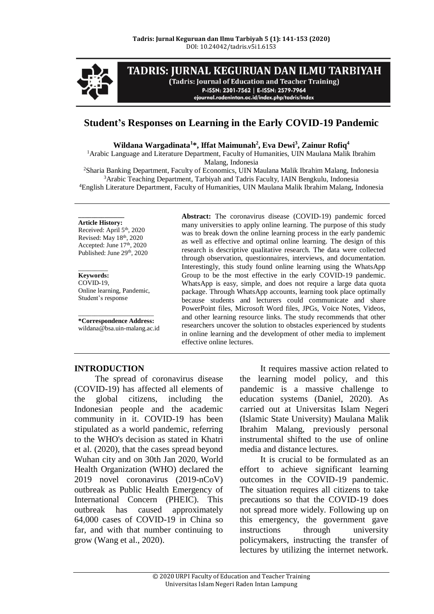

# TADRIS: JURNAL KEGURUAN DAN ILMU TARBIYAH

(Tadris: Journal of Education and Teacher Training) P-ISSN: 2301-7562 | E-ISSN: 2579-7964

ejournal.radenintan.ac.id/index.php/tadris/index

# **Student's Responses on Learning in the Early COVID-19 Pandemic**

**Wildana Wargadinata<sup>1</sup>\*, Iffat Maimunah<sup>2</sup> , Eva Dewi<sup>3</sup> , Zainur Rofiq<sup>4</sup>**

<sup>1</sup>Arabic Language and Literature Department, Faculty of Humanities, UIN Maulana Malik Ibrahim Malang, Indonesia

<sup>2</sup>Sharia Banking Department, Faculty of Economics, UIN Maulana Malik Ibrahim Malang, Indonesia <sup>3</sup>Arabic Teaching Department, Tarbiyah and Tadris Faculty, IAIN Bengkulu, Indonesia <sup>4</sup>English Literature Department, Faculty of Humanities, UIN Maulana Malik Ibrahim Malang, Indonesia

#### **\_\_\_\_\_\_\_\_\_\_\_\_\_\_ Article History:**

Received: April 5<sup>th</sup>, 2020 Revised: May 18 th, 2020 Accepted: June 17<sup>th</sup>, 2020 Published: June 29<sup>th</sup>, 2020

#### \_\_\_\_\_\_\_\_\_ **Keywords:**

COVID-19, Online learning, Pandemic, Student's response

\_\_\_\_\_\_\_\_\_\_\_\_\_\_\_\_\_\_\_\_\_\_\_ **\*Correspondence Address:** wildana@bsa.uin-malang.ac.id

**Abstract:** The coronavirus disease (COVID-19) pandemic forced many universities to apply online learning. The purpose of this study was to break down the online learning process in the early pandemic as well as effective and optimal online learning. The design of this research is descriptive qualitative research. The data were collected through observation, questionnaires, interviews, and documentation. Interestingly, this study found online learning using the WhatsApp Group to be the most effective in the early COVID-19 pandemic. WhatsApp is easy, simple, and does not require a large data quota package. Through WhatsApp accounts, learning took place optimally because students and lecturers could communicate and share PowerPoint files, Microsoft Word files, JPGs, Voice Notes, Videos, and other learning resource links. The study recommends that other researchers uncover the solution to obstacles experienced by students in online learning and the development of other media to implement effective online lectures.

#### **INTRODUCTION**

The spread of coronavirus disease (COVID-19) has affected all elements of the global citizens, including the Indonesian people and the academic community in it. COVID-19 has been stipulated as a world pandemic, referring to the WHO's decision as stated in Khatri et al. (2020), that the cases spread beyond Wuhan city and on 30th Jan 2020, World Health Organization (WHO) declared the 2019 novel coronavirus (2019-nCoV) outbreak as Public Health Emergency of International Concern (PHEIC). This outbreak has caused approximately 64,000 cases of COVID-19 in China so far, and with that number continuing to grow (Wang et al., 2020).

It requires massive action related to the learning model policy, and this pandemic is a massive challenge to education systems (Daniel, 2020). As carried out at Universitas Islam Negeri (Islamic State University) Maulana Malik Ibrahim Malang, previously personal instrumental shifted to the use of online media and distance lectures.

It is crucial to be formulated as an effort to achieve significant learning outcomes in the COVID-19 pandemic. The situation requires all citizens to take precautions so that the COVID-19 does not spread more widely. Following up on this emergency, the government gave instructions through university policymakers, instructing the transfer of lectures by utilizing the internet network.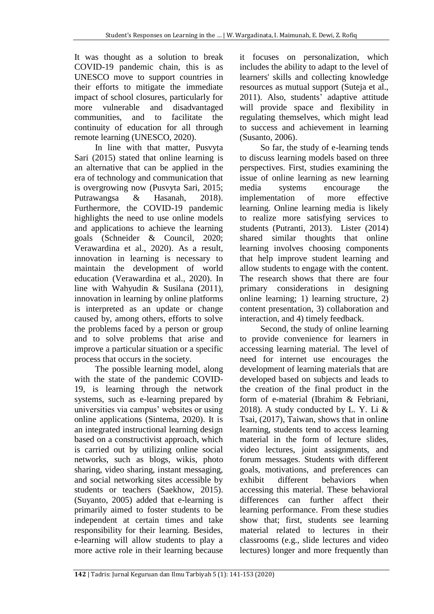It was thought as a solution to break COVID-19 pandemic chain, this is as UNESCO move to support countries in their efforts to mitigate the immediate impact of school closures, particularly for more vulnerable and disadvantaged communities, and to facilitate the continuity of education for all through remote learning (UNESCO, 2020).

In line with that matter, Pusvyta Sari (2015) stated that online learning is an alternative that can be applied in the era of technology and communication that is overgrowing now (Pusvyta Sari, 2015; Putrawangsa & Hasanah, 2018). Furthermore, the COVID-19 pandemic highlights the need to use online models and applications to achieve the learning goals (Schneider & Council, 2020; Verawardina et al., 2020). As a result, innovation in learning is necessary to maintain the development of world education (Verawardina et al., 2020). In line with Wahyudin & Susilana (2011), innovation in learning by online platforms is interpreted as an update or change caused by, among others, efforts to solve the problems faced by a person or group and to solve problems that arise and improve a particular situation or a specific process that occurs in the society.

The possible learning model, along with the state of the pandemic COVID-19, is learning through the network systems, such as e-learning prepared by universities via campus' websites or using online applications (Sintema, 2020). It is an integrated instructional learning design based on a constructivist approach, which is carried out by utilizing online social networks, such as blogs, wikis, photo sharing, video sharing, instant messaging, and social networking sites accessible by students or teachers (Saekhow, 2015). (Suyanto, 2005) added that e-learning is primarily aimed to foster students to be independent at certain times and take responsibility for their learning. Besides, e-learning will allow students to play a more active role in their learning because

it focuses on personalization, which includes the ability to adapt to the level of learners' skills and collecting knowledge resources as mutual support (Suteja et al., 2011). Also, students' adaptive attitude will provide space and flexibility in regulating themselves, which might lead to success and achievement in learning (Susanto, 2006).

So far, the study of e-learning tends to discuss learning models based on three perspectives. First, studies examining the issue of online learning as new learning media systems encourage the implementation of more effective learning. Online learning media is likely to realize more satisfying services to students (Putranti, 2013). Lister (2014) shared similar thoughts that online learning involves choosing components that help improve student learning and allow students to engage with the content. The research shows that there are four primary considerations in designing online learning; 1) learning structure, 2) content presentation, 3) collaboration and interaction, and 4) timely feedback.

Second, the study of online learning to provide convenience for learners in accessing learning material. The level of need for internet use encourages the development of learning materials that are developed based on subjects and leads to the creation of the final product in the form of e-material (Ibrahim & Febriani, 2018). A study conducted by L. Y. Li & Tsai, (2017), Taiwan, shows that in online learning, students tend to access learning material in the form of lecture slides, video lectures, joint assignments, and forum messages. Students with different goals, motivations, and preferences can exhibit different behaviors when accessing this material. These behavioral differences can further affect their learning performance. From these studies show that; first, students see learning material related to lectures in their classrooms (e.g., slide lectures and video lectures) longer and more frequently than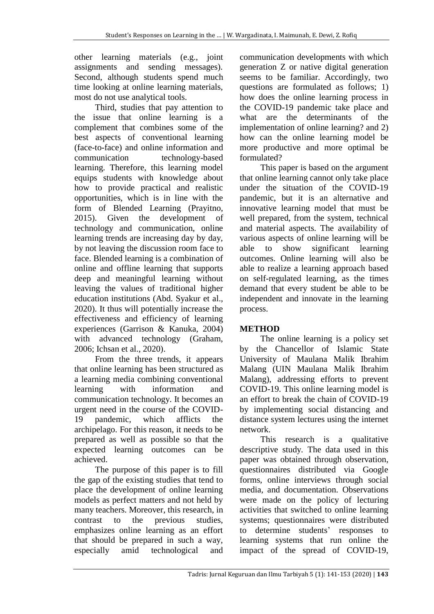other learning materials (e.g., joint assignments and sending messages). Second, although students spend much time looking at online learning materials, most do not use analytical tools.

Third, studies that pay attention to the issue that online learning is a complement that combines some of the best aspects of conventional learning (face-to-face) and online information and communication technology-based learning. Therefore, this learning model equips students with knowledge about how to provide practical and realistic opportunities, which is in line with the form of Blended Learning (Prayitno, 2015). Given the development of technology and communication, online learning trends are increasing day by day, by not leaving the discussion room face to face. Blended learning is a combination of online and offline learning that supports deep and meaningful learning without leaving the values of traditional higher education institutions (Abd. Syakur et al., 2020). It thus will potentially increase the effectiveness and efficiency of learning experiences (Garrison & Kanuka, 2004) with advanced technology (Graham, 2006; Ichsan et al., 2020).

From the three trends, it appears that online learning has been structured as a learning media combining conventional learning with information and communication technology. It becomes an urgent need in the course of the COVID-19 pandemic, which afflicts the archipelago. For this reason, it needs to be prepared as well as possible so that the expected learning outcomes can be achieved.

The purpose of this paper is to fill the gap of the existing studies that tend to place the development of online learning models as perfect matters and not held by many teachers. Moreover, this research, in contrast to the previous studies, emphasizes online learning as an effort that should be prepared in such a way, especially amid technological and

communication developments with which generation Z or native digital generation seems to be familiar. Accordingly, two questions are formulated as follows; 1) how does the online learning process in the COVID-19 pandemic take place and what are the determinants of the implementation of online learning? and 2) how can the online learning model be more productive and more optimal be formulated?

This paper is based on the argument that online learning cannot only take place under the situation of the COVID-19 pandemic, but it is an alternative and innovative learning model that must be well prepared, from the system, technical and material aspects. The availability of various aspects of online learning will be able to show significant learning outcomes. Online learning will also be able to realize a learning approach based on self-regulated learning, as the times demand that every student be able to be independent and innovate in the learning process.

# **METHOD**

The online learning is a policy set by the Chancellor of Islamic State University of Maulana Malik Ibrahim Malang (UIN Maulana Malik Ibrahim Malang), addressing efforts to prevent COVID-19. This online learning model is an effort to break the chain of COVID-19 by implementing social distancing and distance system lectures using the internet network.

This research is a qualitative descriptive study. The data used in this paper was obtained through observation, questionnaires distributed via Google forms, online interviews through social media, and documentation. Observations were made on the policy of lecturing activities that switched to online learning systems; questionnaires were distributed to determine students' responses to learning systems that run online the impact of the spread of COVID-19,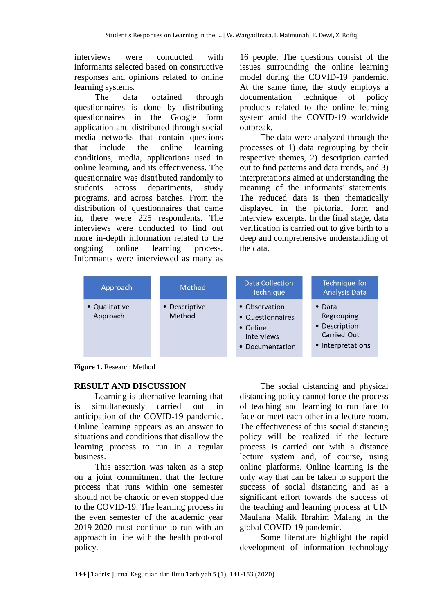interviews were conducted with informants selected based on constructive responses and opinions related to online learning systems.

The data obtained through questionnaires is done by distributing questionnaires in the Google form application and distributed through social media networks that contain questions that include the online learning conditions, media, applications used in online learning, and its effectiveness. The questionnaire was distributed randomly to students across departments, study programs, and across batches. From the distribution of questionnaires that came in, there were 225 respondents. The interviews were conducted to find out more in-depth information related to the ongoing online learning process. Informants were interviewed as many as

16 people. The questions consist of the issues surrounding the online learning model during the COVID-19 pandemic. At the same time, the study employs a documentation technique of policy products related to the online learning system amid the COVID-19 worldwide outbreak.

The data were analyzed through the processes of 1) data regrouping by their respective themes, 2) description carried out to find patterns and data trends, and 3) interpretations aimed at understanding the meaning of the informants' statements. The reduced data is then thematically displayed in the pictorial form and interview excerpts. In the final stage, data verification is carried out to give birth to a deep and comprehensive understanding of the data.

| Approach                  | <b>Method</b>           | <b>Data Collection</b><br>Technique                                                   | Technique for<br><b>Analysis Data</b>                                             |
|---------------------------|-------------------------|---------------------------------------------------------------------------------------|-----------------------------------------------------------------------------------|
| • Qualitative<br>Approach | • Descriptive<br>Method | • Observation<br>• Questionnaires<br>• Online<br><b>Interviews</b><br>• Documentation | $\bullet$ Data<br>Regrouping<br>• Description<br>Carried Out<br>• Interpretations |

**Figure 1.** Research Method

### **RESULT AND DISCUSSION**

Learning is alternative learning that is simultaneously carried out in anticipation of the COVID-19 pandemic. Online learning appears as an answer to situations and conditions that disallow the learning process to run in a regular business.

This assertion was taken as a step on a joint commitment that the lecture process that runs within one semester should not be chaotic or even stopped due to the COVID-19. The learning process in the even semester of the academic year 2019-2020 must continue to run with an approach in line with the health protocol policy.

The social distancing and physical distancing policy cannot force the process of teaching and learning to run face to face or meet each other in a lecture room. The effectiveness of this social distancing policy will be realized if the lecture process is carried out with a distance lecture system and, of course, using online platforms. Online learning is the only way that can be taken to support the success of social distancing and as a significant effort towards the success of the teaching and learning process at UIN Maulana Malik Ibrahim Malang in the global COVID-19 pandemic.

Some literature highlight the rapid development of information technology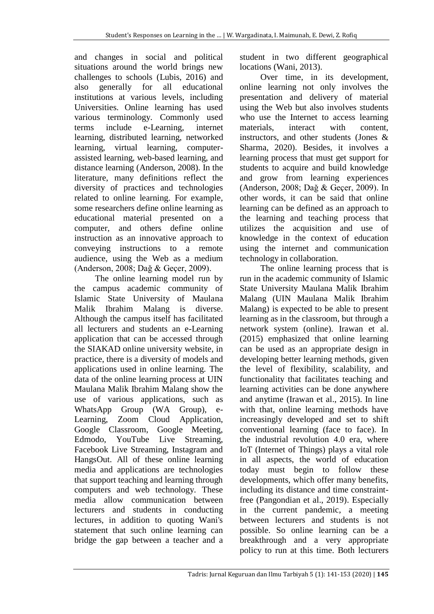and changes in social and political situations around the world brings new challenges to schools (Lubis, 2016) and also generally for all educational institutions at various levels, including Universities. Online learning has used various terminology. Commonly used terms include e-Learning, internet learning, distributed learning, networked learning, virtual learning, computerassisted learning, web-based learning, and distance learning (Anderson, 2008). In the literature, many definitions reflect the diversity of practices and technologies related to online learning. For example, some researchers define online learning as educational material presented on a computer, and others define online instruction as an innovative approach to conveying instructions to a remote audience, using the Web as a medium (Anderson, 2008; Daǧ & Geçer, 2009).

The online learning model run by the campus academic community of Islamic State University of Maulana Malik Ibrahim Malang is diverse. Although the campus itself has facilitated all lecturers and students an e-Learning application that can be accessed through the SIAKAD online university website, in practice, there is a diversity of models and applications used in online learning. The data of the online learning process at UIN Maulana Malik Ibrahim Malang show the use of various applications, such as WhatsApp Group (WA Group), e-Learning, Zoom Cloud Application, Google Classroom, Google Meeting, Edmodo, YouTube Live Streaming, Facebook Live Streaming, Instagram and HangsOut. All of these online learning media and applications are technologies that support teaching and learning through computers and web technology. These media allow communication between lecturers and students in conducting lectures, in addition to quoting Wani's statement that such online learning can bridge the gap between a teacher and a

student in two different geographical locations (Wani, 2013).

Over time, in its development, online learning not only involves the presentation and delivery of material using the Web but also involves students who use the Internet to access learning materials, interact with content, instructors, and other students (Jones & Sharma, 2020). Besides, it involves a learning process that must get support for students to acquire and build knowledge and grow from learning experiences (Anderson, 2008; Daǧ & Geçer, 2009). In other words, it can be said that online learning can be defined as an approach to the learning and teaching process that utilizes the acquisition and use of knowledge in the context of education using the internet and communication technology in collaboration.

The online learning process that is run in the academic community of Islamic State University Maulana Malik Ibrahim Malang (UIN Maulana Malik Ibrahim Malang) is expected to be able to present learning as in the classroom, but through a network system (online). Irawan et al. (2015) emphasized that online learning can be used as an appropriate design in developing better learning methods, given the level of flexibility, scalability, and functionality that facilitates teaching and learning activities can be done anywhere and anytime (Irawan et al., 2015). In line with that, online learning methods have increasingly developed and set to shift conventional learning (face to face). In the industrial revolution 4.0 era, where IoT (Internet of Things) plays a vital role in all aspects, the world of education today must begin to follow these developments, which offer many benefits, including its distance and time constraintfree (Pangondian et al., 2019). Especially in the current pandemic, a meeting between lecturers and students is not possible. So online learning can be a breakthrough and a very appropriate policy to run at this time. Both lecturers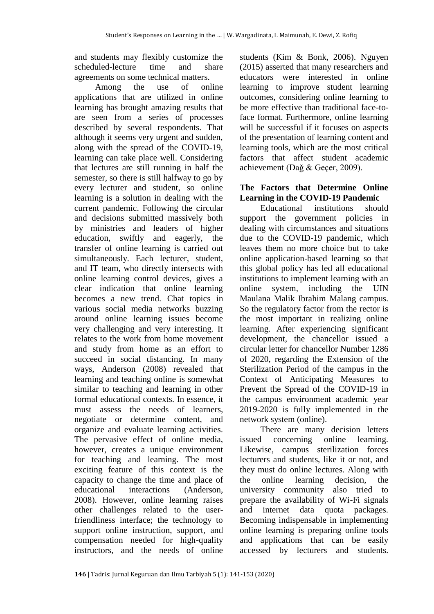and students may flexibly customize the scheduled-lecture time and share agreements on some technical matters.

Among the use of online applications that are utilized in online learning has brought amazing results that are seen from a series of processes described by several respondents. That although it seems very urgent and sudden, along with the spread of the COVID-19, learning can take place well. Considering that lectures are still running in half the semester, so there is still halfway to go by every lecturer and student, so online learning is a solution in dealing with the current pandemic. Following the circular and decisions submitted massively both by ministries and leaders of higher education, swiftly and eagerly, the transfer of online learning is carried out simultaneously. Each lecturer, student, and IT team, who directly intersects with online learning control devices, gives a clear indication that online learning becomes a new trend. Chat topics in various social media networks buzzing around online learning issues become very challenging and very interesting. It relates to the work from home movement and study from home as an effort to succeed in social distancing. In many ways, Anderson (2008) revealed that learning and teaching online is somewhat similar to teaching and learning in other formal educational contexts. In essence, it must assess the needs of learners, negotiate or determine content, and organize and evaluate learning activities. The pervasive effect of online media, however, creates a unique environment for teaching and learning. The most exciting feature of this context is the capacity to change the time and place of educational interactions (Anderson, 2008). However, online learning raises other challenges related to the userfriendliness interface; the technology to support online instruction, support, and compensation needed for high-quality instructors, and the needs of online

students (Kim & Bonk, 2006). Nguyen (2015) asserted that many researchers and educators were interested in online learning to improve student learning outcomes, considering online learning to be more effective than traditional face-toface format. Furthermore, online learning will be successful if it focuses on aspects of the presentation of learning content and learning tools, which are the most critical factors that affect student academic achievement (Daǧ & Geçer, 2009).

### **The Factors that Determine Online Learning in the COVID-19 Pandemic**

Educational institutions should support the government policies in dealing with circumstances and situations due to the COVID-19 pandemic, which leaves them no more choice but to take online application-based learning so that this global policy has led all educational institutions to implement learning with an online system, including the UIN Maulana Malik Ibrahim Malang campus. So the regulatory factor from the rector is the most important in realizing online learning. After experiencing significant development, the chancellor issued a circular letter for chancellor Number 1286 of 2020, regarding the Extension of the Sterilization Period of the campus in the Context of Anticipating Measures to Prevent the Spread of the COVID-19 in the campus environment academic year 2019-2020 is fully implemented in the network system (online).

There are many decision letters issued concerning online learning. Likewise, campus sterilization forces lecturers and students, like it or not, and they must do online lectures. Along with the online learning decision, the university community also tried to prepare the availability of Wi-Fi signals and internet data quota packages. Becoming indispensable in implementing online learning is preparing online tools and applications that can be easily accessed by lecturers and students.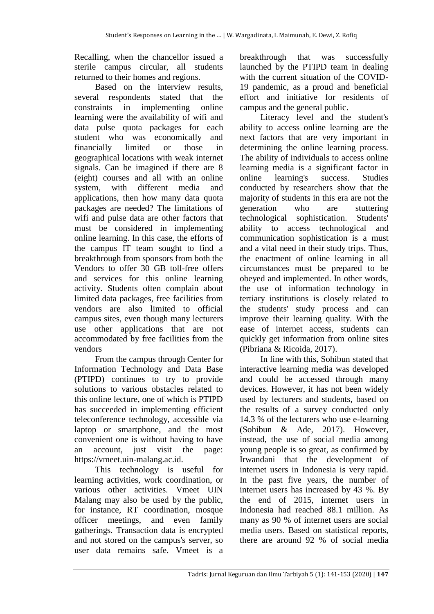Recalling, when the chancellor issued a sterile campus circular, all students returned to their homes and regions.

Based on the interview results, several respondents stated that the constraints in implementing online learning were the availability of wifi and data pulse quota packages for each student who was economically and financially limited or those in geographical locations with weak internet signals. Can be imagined if there are 8 (eight) courses and all with an online system, with different media and applications, then how many data quota packages are needed? The limitations of wifi and pulse data are other factors that must be considered in implementing online learning. In this case, the efforts of the campus IT team sought to find a breakthrough from sponsors from both the Vendors to offer 30 GB toll-free offers and services for this online learning activity. Students often complain about limited data packages, free facilities from vendors are also limited to official campus sites, even though many lecturers use other applications that are not accommodated by free facilities from the vendors

From the campus through Center for Information Technology and Data Base (PTIPD) continues to try to provide solutions to various obstacles related to this online lecture, one of which is PTIPD has succeeded in implementing efficient teleconference technology, accessible via laptop or smartphone, and the most convenient one is without having to have an account, just visit the page: https://vmeet.uin-malang.ac.id.

This technology is useful for learning activities, work coordination, or various other activities. Vmeet UIN Malang may also be used by the public, for instance, RT coordination, mosque officer meetings, and even family gatherings. Transaction data is encrypted and not stored on the campus's server, so user data remains safe. Vmeet is a

breakthrough that was successfully launched by the PTIPD team in dealing with the current situation of the COVID-19 pandemic, as a proud and beneficial effort and initiative for residents of campus and the general public.

Literacy level and the student's ability to access online learning are the next factors that are very important in determining the online learning process. The ability of individuals to access online learning media is a significant factor in online learning's success. Studies conducted by researchers show that the majority of students in this era are not the generation who are stuttering technological sophistication. Students' ability to access technological and communication sophistication is a must and a vital need in their study trips. Thus, the enactment of online learning in all circumstances must be prepared to be obeyed and implemented. In other words, the use of information technology in tertiary institutions is closely related to the students' study process and can improve their learning quality. With the ease of internet access, students can quickly get information from online sites (Pibriana & Ricoida, 2017).

In line with this, Sohibun stated that interactive learning media was developed and could be accessed through many devices. However, it has not been widely used by lecturers and students, based on the results of a survey conducted only 14.3 % of the lecturers who use e-learning (Sohibun & Ade, 2017). However, instead, the use of social media among young people is so great, as confirmed by Irwandani that the development of internet users in Indonesia is very rapid. In the past five years, the number of internet users has increased by 43 %. By the end of 2015, internet users in Indonesia had reached 88.1 million. As many as 90 % of internet users are social media users. Based on statistical reports, there are around 92 % of social media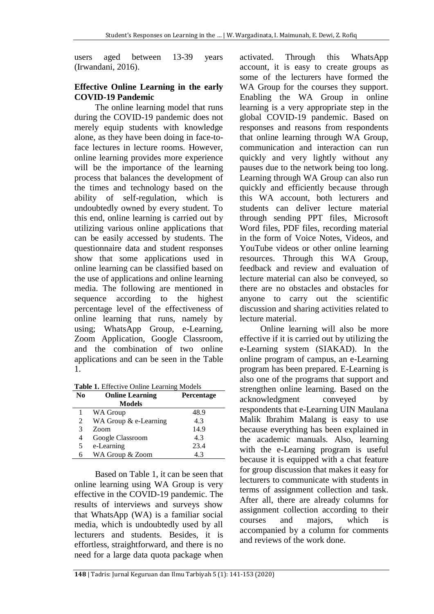users aged between 13-39 years (Irwandani, 2016).

#### **Effective Online Learning in the early COVID-19 Pandemic**

The online learning model that runs during the COVID-19 pandemic does not merely equip students with knowledge alone, as they have been doing in face-toface lectures in lecture rooms. However, online learning provides more experience will be the importance of the learning process that balances the development of the times and technology based on the ability of self-regulation, which is undoubtedly owned by every student. To this end, online learning is carried out by utilizing various online applications that can be easily accessed by students. The questionnaire data and student responses show that some applications used in online learning can be classified based on the use of applications and online learning media. The following are mentioned in sequence according to the highest percentage level of the effectiveness of online learning that runs, namely by using; WhatsApp Group, e-Learning, Zoom Application, Google Classroom, and the combination of two online applications and can be seen in the Table 1.

**Table 1.** Effective Online Learning Models

Based on Table 1, it can be seen that online learning using WA Group is very effective in the COVID-19 pandemic. The results of interviews and surveys show that WhatsApp (WA) is a familiar social media, which is undoubtedly used by all lecturers and students. Besides, it is effortless, straightforward, and there is no need for a large data quota package when

activated. Through this WhatsApp account, it is easy to create groups as some of the lecturers have formed the WA Group for the courses they support. Enabling the WA Group in online learning is a very appropriate step in the global COVID-19 pandemic. Based on responses and reasons from respondents that online learning through WA Group, communication and interaction can run quickly and very lightly without any pauses due to the network being too long. Learning through WA Group can also run quickly and efficiently because through this WA account, both lecturers and students can deliver lecture material through sending PPT files, Microsoft Word files, PDF files, recording material in the form of Voice Notes, Videos, and YouTube videos or other online learning resources. Through this WA Group, feedback and review and evaluation of lecture material can also be conveyed, so there are no obstacles and obstacles for anyone to carry out the scientific discussion and sharing activities related to lecture material.

Online learning will also be more effective if it is carried out by utilizing the e-Learning system (SIAKAD). In the online program of campus, an e-Learning program has been prepared. E-Learning is also one of the programs that support and strengthen online learning. Based on the acknowledgment conveyed by respondents that e-Learning UIN Maulana Malik Ibrahim Malang is easy to use because everything has been explained in the academic manuals. Also, learning with the e-Learning program is useful because it is equipped with a chat feature for group discussion that makes it easy for lecturers to communicate with students in terms of assignment collection and task. After all, there are already columns for assignment collection according to their courses and majors, which is accompanied by a column for comments and reviews of the work done.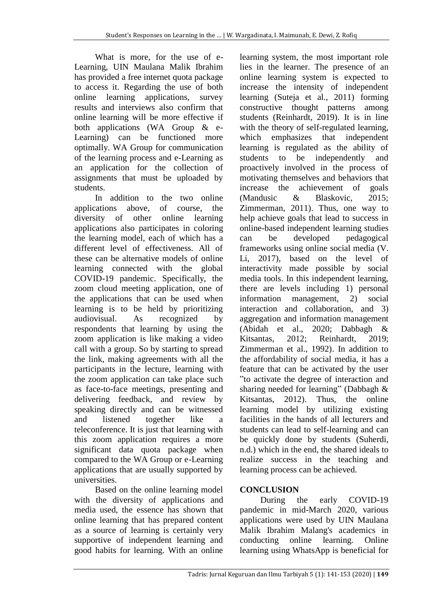What is more, for the use of e-Learning, UIN Maulana Malik Ibrahim has provided a free internet quota package to access it. Regarding the use of both online learning applications, survey results and interviews also confirm that online learning will be more effective if both applications (WA Group & e-Learning) can be functioned more optimally. WA Group for communication of the learning process and e-Learning as an application for the collection of assignments that must be uploaded by students.

In addition to the two online applications above, of course, the diversity of other online learning applications also participates in coloring the learning model, each of which has a different level of effectiveness. All of these can be alternative models of online learning connected with the global COVID-19 pandemic. Specifically, the zoom cloud meeting application, one of the applications that can be used when learning is to be held by prioritizing audiovisual. As recognized by respondents that learning by using the zoom application is like making a video call with a group. So by starting to spread the link, making agreements with all the participants in the lecture, learning with the zoom application can take place such as face-to-face meetings, presenting and delivering feedback, and review by speaking directly and can be witnessed and listened together like a teleconference. It is just that learning with this zoom application requires a more significant data quota package when compared to the WA Group or e-Learning applications that are usually supported by universities.

Based on the online learning model with the diversity of applications and media used, the essence has shown that online learning that has prepared content as a source of learning is certainly very supportive of independent learning and good habits for learning. With an online

learning system, the most important role lies in the learner. The presence of an online learning system is expected to increase the intensity of independent learning (Suteja et al., 2011) forming constructive thought patterns among students (Reinhardt, 2019). It is in line with the theory of self-regulated learning, which emphasizes that independent learning is regulated as the ability of students to be independently and proactively involved in the process of motivating themselves and behaviors that increase the achievement of goals (Mandusic & Blaskovic, 2015; Zimmerman, 2011). Thus, one way to help achieve goals that lead to success in online-based independent learning studies can be developed pedagogical frameworks using online social media (V. Li, 2017), based on the level of interactivity made possible by social media tools. In this independent learning, there are levels including 1) personal information management, 2) social interaction and collaboration, and 3) aggregation and information management (Abidah et al., 2020; Dabbagh & Kitsantas, 2012; Reinhardt, 2019; Zimmerman et al., 1992). In addition to the affordability of social media, it has a feature that can be activated by the user "to activate the degree of interaction and sharing needed for learning" (Dabbagh & Kitsantas, 2012). Thus, the online learning model by utilizing existing facilities in the hands of all lecturers and students can lead to self-learning and can be quickly done by students (Suherdi, n.d.) which in the end, the shared ideals to realize success in the teaching and learning process can be achieved.

# **CONCLUSION**

During the early COVID-19 pandemic in mid-March 2020, various applications were used by UIN Maulana Malik Ibrahim Malang's academics in conducting online learning. Online learning using WhatsApp is beneficial for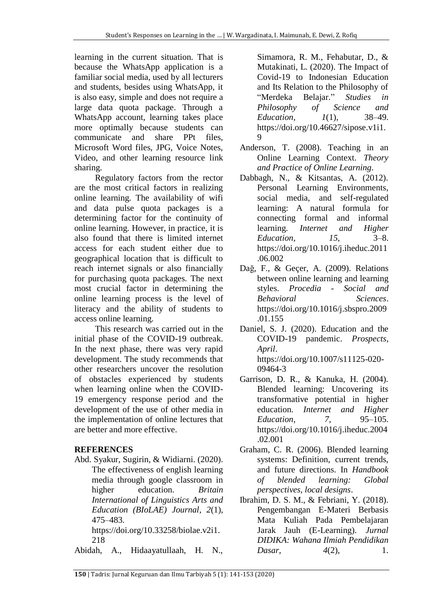learning in the current situation. That is because the WhatsApp application is a familiar social media, used by all lecturers and students, besides using WhatsApp, it is also easy, simple and does not require a large data quota package. Through a WhatsApp account, learning takes place more optimally because students can communicate and share PPt files, Microsoft Word files, JPG, Voice Notes, Video, and other learning resource link sharing.

Regulatory factors from the rector are the most critical factors in realizing online learning. The availability of wifi and data pulse quota packages is a determining factor for the continuity of online learning. However, in practice, it is also found that there is limited internet access for each student either due to geographical location that is difficult to reach internet signals or also financially for purchasing quota packages. The next most crucial factor in determining the online learning process is the level of literacy and the ability of students to access online learning.

This research was carried out in the initial phase of the COVID-19 outbreak. In the next phase, there was very rapid development. The study recommends that other researchers uncover the resolution of obstacles experienced by students when learning online when the COVID-19 emergency response period and the development of the use of other media in the implementation of online lectures that are better and more effective.

# **REFERENCES**

Abd. Syakur, Sugirin, & Widiarni. (2020). The effectiveness of english learning media through google classroom in higher education. *Britain International of Linguistics Arts and Education (BIoLAE) Journal*, *2*(1), 475–483.

https://doi.org/10.33258/biolae.v2i1. 218

Abidah, A., Hidaayatullaah, H. N.,

Simamora, R. M., Fehabutar, D., & Mutakinati, L. (2020). The Impact of Covid-19 to Indonesian Education and Its Relation to the Philosophy of "Merdeka Belajar." *Studies in Philosophy of Science and Education*, *1*(1), 38–49. https://doi.org/10.46627/sipose.v1i1. 9

- Anderson, T. (2008). Teaching in an Online Learning Context. *Theory and Practice of Online Learning*.
- Dabbagh, N., & Kitsantas, A. (2012). Personal Learning Environments, social media, and self-regulated learning: A natural formula for connecting formal and informal learning. *Internet and Higher Education*, *15*, 3–8. https://doi.org/10.1016/j.iheduc.2011 .06.002
- Daǧ, F., & Geçer, A. (2009). Relations between online learning and learning styles. *Procedia - Social and Behavioral Sciences*. https://doi.org/10.1016/j.sbspro.2009 .01.155
- Daniel, S. J. (2020). Education and the COVID-19 pandemic. *Prospects*, *April*. https://doi.org/10.1007/s11125-020- 09464-3
- Garrison, D. R., & Kanuka, H. (2004). Blended learning: Uncovering its transformative potential in higher education. *Internet and Higher Education*, *7*, 95–105. https://doi.org/10.1016/j.iheduc.2004 .02.001
- Graham, C. R. (2006). Blended learning systems: Definition, current trends, and future directions. In *Handbook of blended learning: Global perspectives, local designs*.
- Ibrahim, D. S. M., & Febriani, Y. (2018). Pengembangan E-Materi Berbasis Mata Kuliah Pada Pembelajaran Jarak Jauh (E-Learning). *Jurnal DIDIKA: Wahana Ilmiah Pendidikan Dasar*, 4(2), 1.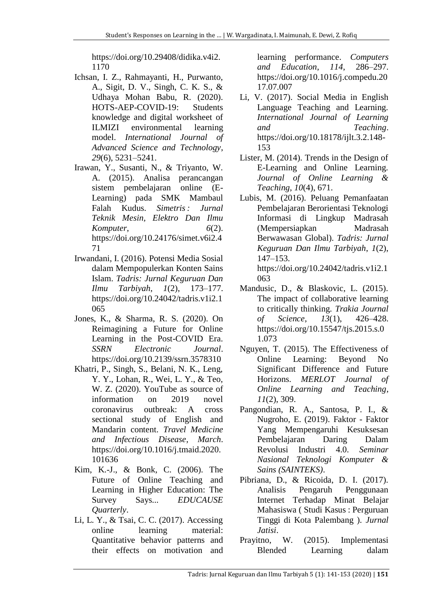https://doi.org/10.29408/didika.v4i2. 1170

- Ichsan, I. Z., Rahmayanti, H., Purwanto, A., Sigit, D. V., Singh, C. K. S., & Udhaya Mohan Babu, R. (2020). HOTS-AEP-COVID-19: Students knowledge and digital worksheet of ILMIZI environmental learning model. *International Journal of Advanced Science and Technology*, *29*(6), 5231–5241.
- Irawan, Y., Susanti, N., & Triyanto, W. A. (2015). Analisa perancangan sistem pembelajaran online (E-Learning) pada SMK Mambaul Falah Kudus. *Simetris : Jurnal Teknik Mesin, Elektro Dan Ilmu Komputer*, *6*(2). https://doi.org/10.24176/simet.v6i2.4 71
- Irwandani, I. (2016). Potensi Media Sosial dalam Mempopulerkan Konten Sains Islam. *Tadris: Jurnal Keguruan Dan Ilmu Tarbiyah*, *1*(2), 173–177. https://doi.org/10.24042/tadris.v1i2.1 065
- Jones, K., & Sharma, R. S. (2020). On Reimagining a Future for Online Learning in the Post-COVID Era. *SSRN Electronic Journal*. https://doi.org/10.2139/ssrn.3578310
- Khatri, P., Singh, S., Belani, N. K., Leng, Y. Y., Lohan, R., Wei, L. Y., & Teo, W. Z. (2020). YouTube as source of information on 2019 novel coronavirus outbreak: A cross sectional study of English and Mandarin content. *Travel Medicine and Infectious Disease*, *March*. https://doi.org/10.1016/j.tmaid.2020. 101636
- Kim, K.-J., & Bonk, C. (2006). The Future of Online Teaching and Learning in Higher Education: The Survey Says... *EDUCAUSE Quarterly*.
- Li, L. Y., & Tsai, C. C. (2017). Accessing online learning material: Quantitative behavior patterns and their effects on motivation and

learning performance. *Computers and Education*, *114*, 286–297. https://doi.org/10.1016/j.compedu.20 17.07.007

- Li, V. (2017). Social Media in English Language Teaching and Learning. *International Journal of Learning and Teaching*. https://doi.org/10.18178/ijlt.3.2.148- 153
- Lister, M. (2014). Trends in the Design of E-Learning and Online Learning. *Journal of Online Learning & Teaching*, *10*(4), 671.
- Lubis, M. (2016). Peluang Pemanfaatan Pembelajaran Berorientasi Teknologi Informasi di Lingkup Madrasah (Mempersiapkan Madrasah Berwawasan Global). *Tadris: Jurnal Keguruan Dan Ilmu Tarbiyah*, *1*(2), 147–153. https://doi.org/10.24042/tadris.v1i2.1 063
- Mandusic, D., & Blaskovic, L. (2015). The impact of collaborative learning to critically thinking. *Trakia Journal of Science*, *13*(1), 426–428. https://doi.org/10.15547/tjs.2015.s.0 1.073
- Nguyen, T. (2015). The Effectiveness of Online Learning: Beyond No Significant Difference and Future Horizons. *MERLOT Journal of Online Learning and Teaching*, *11*(2), 309.
- Pangondian, R. A., Santosa, P. I., & Nugroho, E. (2019). Faktor - Faktor Yang Mempengaruhi Kesuksesan Pembelajaran Daring Dalam Revolusi Industri 4.0. *Seminar Nasional Teknologi Komputer & Sains (SAINTEKS)*.
- Pibriana, D., & Ricoida, D. I. (2017). Analisis Pengaruh Penggunaan Internet Terhadap Minat Belajar Mahasiswa ( Studi Kasus : Perguruan Tinggi di Kota Palembang ). *Jurnal Jatisi*.
- Prayitno, W. (2015). Implementasi Blended Learning dalam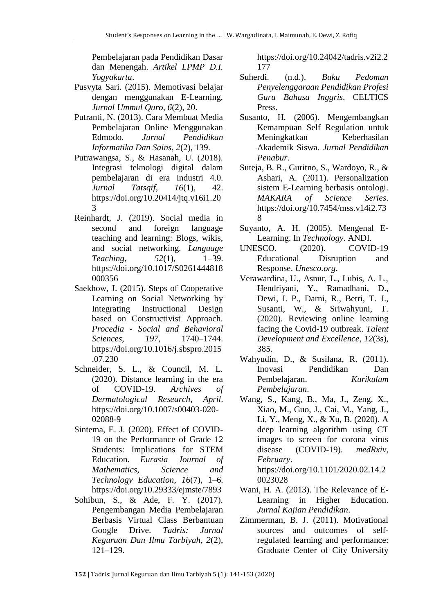Pembelajaran pada Pendidikan Dasar dan Menengah. *Artikel LPMP D.I. Yogyakarta*.

- Pusvyta Sari. (2015). Memotivasi belajar dengan menggunakan E-Learning. *Jurnal Ummul Quro*, *6*(2), 20.
- Putranti, N. (2013). Cara Membuat Media Pembelajaran Online Menggunakan Edmodo. *Jurnal Pendidikan Informatika Dan Sains*, *2*(2), 139.
- Putrawangsa, S., & Hasanah, U. (2018). Integrasi teknologi digital dalam pembelajaran di era industri 4.0. *Jurnal Tatsqif*, *16*(1), 42. https://doi.org/10.20414/jtq.v16i1.20 3
- Reinhardt, J. (2019). Social media in second and foreign language teaching and learning: Blogs, wikis, and social networking. *Language Teaching*, *52*(1), 1–39. https://doi.org/10.1017/S0261444818 000356
- Saekhow, J. (2015). Steps of Cooperative Learning on Social Networking by Integrating Instructional Design based on Constructivist Approach. *Procedia - Social and Behavioral Sciences*, *197*, 1740–1744. https://doi.org/10.1016/j.sbspro.2015 .07.230
- Schneider, S. L., & Council, M. L. (2020). Distance learning in the era of COVID-19. *Archives of Dermatological Research*, *April*. https://doi.org/10.1007/s00403-020- 02088-9
- Sintema, E. J. (2020). Effect of COVID-19 on the Performance of Grade 12 Students: Implications for STEM Education. *Eurasia Journal of Mathematics, Science and Technology Education*, *16*(7), 1–6. https://doi.org/10.29333/ejmste/7893
- Sohibun, S., & Ade, F. Y. (2017). Pengembangan Media Pembelajaran Berbasis Virtual Class Berbantuan Google Drive. *Tadris: Jurnal Keguruan Dan Ilmu Tarbiyah*, *2*(2), 121–129.

https://doi.org/10.24042/tadris.v2i2.2 177

- Suherdi. (n.d.). *Buku Pedoman Penyelenggaraan Pendidikan Profesi Guru Bahasa Inggris*. CELTICS Press.
- Susanto, H. (2006). Mengembangkan Kemampuan Self Regulation untuk Meningkatkan Keberhasilan Akademik Siswa. *Jurnal Pendidikan Penabur*.
- Suteja, B. R., Guritno, S., Wardoyo, R., & Ashari, A. (2011). Personalization sistem E-Learning berbasis ontologi. *MAKARA of Science Series*. https://doi.org/10.7454/mss.v14i2.73 8
- Suyanto, A. H. (2005). Mengenal E-Learning. In *Technology*. ANDI.
- UNESCO. (2020). COVID-19 Educational Disruption and Response. *Unesco.org*.
- Verawardina, U., Asnur, L., Lubis, A. L., Hendriyani, Y., Ramadhani, D., Dewi, I. P., Darni, R., Betri, T. J., Susanti, W., & Sriwahyuni, T. (2020). Reviewing online learning facing the Covid-19 outbreak. *Talent Development and Excellence*, *12*(3s), 385.
- Wahyudin, D., & Susilana, R. (2011). Inovasi Pendidikan Dan Pembelajaran. *Kurikulum Pembelajaran*.
- Wang, S., Kang, B., Ma, J., Zeng, X., Xiao, M., Guo, J., Cai, M., Yang, J., Li, Y., Meng, X., & Xu, B. (2020). A deep learning algorithm using CT images to screen for corona virus disease (COVID-19). *medRxiv*, *February*. https://doi.org/10.1101/2020.02.14.2 0023028
- Wani, H. A. (2013). The Relevance of E-Learning in Higher Education. *Jurnal Kajian Pendidikan*.
- Zimmerman, B. J. (2011). Motivational sources and outcomes of selfregulated learning and performance: Graduate Center of City University

**<sup>152</sup>** | Tadris: Jurnal Keguruan dan Ilmu Tarbiyah 5 (1): 141-153 (2020)